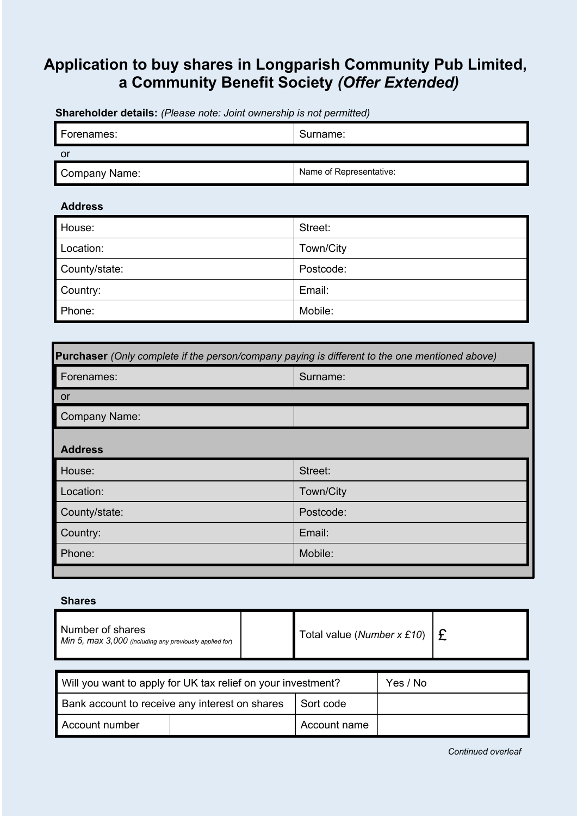## **Application to buy shares in Longparish Community Pub Limited, a Community Benefit Society** *(Offer Extended)*

Forenames: Surname: Surname: Surname: Surname: Surname: Surname: Surname: Surname: Surname: Surname: Surname: Surname: Surname: Surname: Surname: Surname: Surname: Surname: Surname: Surname: Surname: Surname: Surname: Surn or Company Name: Name of Representative:

**Shareholder details:** *(Please note: Joint ownership is not permitted)*

## **Address**

| House:        | Street:   |
|---------------|-----------|
| Location:     | Town/City |
| County/state: | Postcode: |
| Country:      | Email:    |
| Phone:        | Mobile:   |

| Forenames:<br>Surname:     |
|----------------------------|
|                            |
| <b>or</b>                  |
| <b>Company Name:</b>       |
| <b>Address</b>             |
| Street:<br>House:          |
| Location:<br>Town/City     |
| Postcode:<br>County/state: |
| Email:<br>Country:         |
| Mobile:<br>Phone:          |

## **Shares**

| Number of shares<br>Min 5, $max$ 3,000 (including any previously applied for) |  | Total value (Number x £10) |          |  |
|-------------------------------------------------------------------------------|--|----------------------------|----------|--|
| Will you want to apply for UK tax relief on your investment?                  |  |                            | Yes / No |  |
| Bank account to receive any interest on shares                                |  | Sort code                  |          |  |
| Account number                                                                |  | Account name               |          |  |